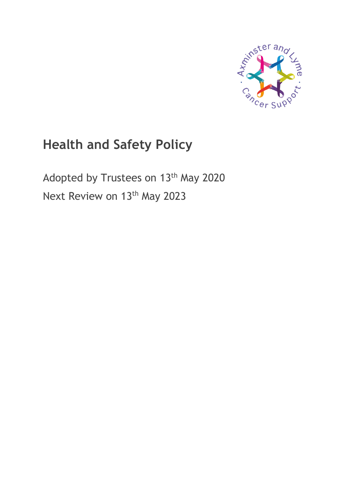

# **Health and Safety Policy**

Adopted by Trustees on 13<sup>th</sup> May 2020 Next Review on 13<sup>th</sup> May 2023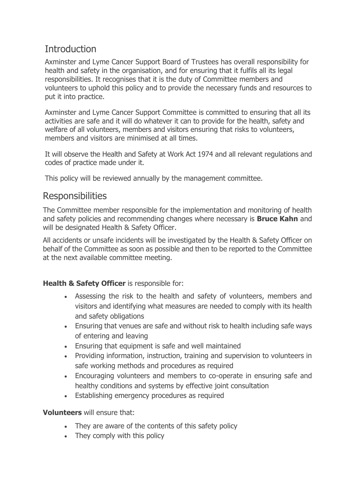# **Introduction**

Axminster and Lyme Cancer Support Board of Trustees has overall responsibility for health and safety in the organisation, and for ensuring that it fulfils all its legal responsibilities. It recognises that it is the duty of Committee members and volunteers to uphold this policy and to provide the necessary funds and resources to put it into practice.

Axminster and Lyme Cancer Support Committee is committed to ensuring that all its activities are safe and it will do whatever it can to provide for the health, safety and welfare of all volunteers, members and visitors ensuring that risks to volunteers, members and visitors are minimised at all times.

It will observe the Health and Safety at Work Act 1974 and all relevant regulations and codes of practice made under it.

This policy will be reviewed annually by the management committee.

### Responsibilities

The Committee member responsible for the implementation and monitoring of health and safety policies and recommending changes where necessary is **Bruce Kahn** and will be designated Health & Safety Officer.

All accidents or unsafe incidents will be investigated by the Health & Safety Officer on behalf of the Committee as soon as possible and then to be reported to the Committee at the next available committee meeting.

#### **Health & Safety Officer** is responsible for:

- Assessing the risk to the health and safety of volunteers, members and visitors and identifying what measures are needed to comply with its health and safety obligations
- Ensuring that venues are safe and without risk to health including safe ways of entering and leaving
- Ensuring that equipment is safe and well maintained
- Providing information, instruction, training and supervision to volunteers in safe working methods and procedures as required
- Encouraging volunteers and members to co-operate in ensuring safe and healthy conditions and systems by effective joint consultation
- Establishing emergency procedures as required

**Volunteers** will ensure that:

- They are aware of the contents of this safety policy
- They comply with this policy